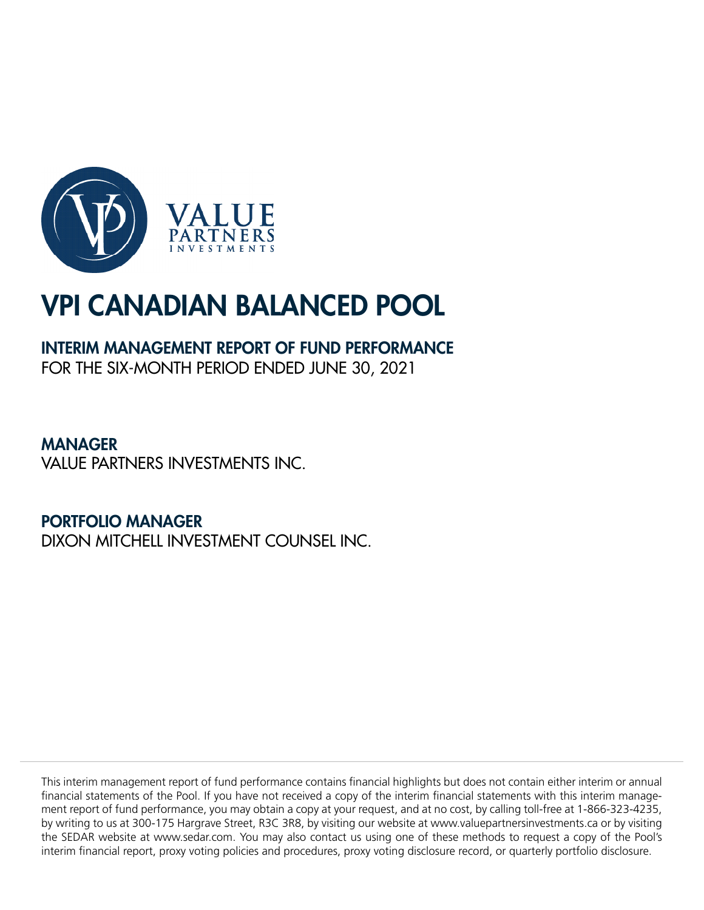

## INTERIM MANAGEMENT REPORT OF FUND PERFORMANCE FOR THE SIX-MONTH PERIOD ENDED JUNE 30, 2021

MANAGER VALUE PARTNERS INVESTMENTS INC.

PORTFOLIO MANAGER DIXON MITCHELL INVESTMENT COUNSEL INC.

This interim management report of fund performance contains financial highlights but does not contain either interim or annual financial statements of the Pool. If you have not received a copy of the interim financial statements with this interim management report of fund performance, you may obtain a copy at your request, and at no cost, by calling toll-free at 1-866-323-4235, by writing to us at 300-175 Hargrave Street, R3C 3R8, by visiting our website at www.valuepartnersinvestments.ca or by visiting the SEDAR website at www.sedar.com. You may also contact us using one of these methods to request a copy of the Pool's interim financial report, proxy voting policies and procedures, proxy voting disclosure record, or quarterly portfolio disclosure.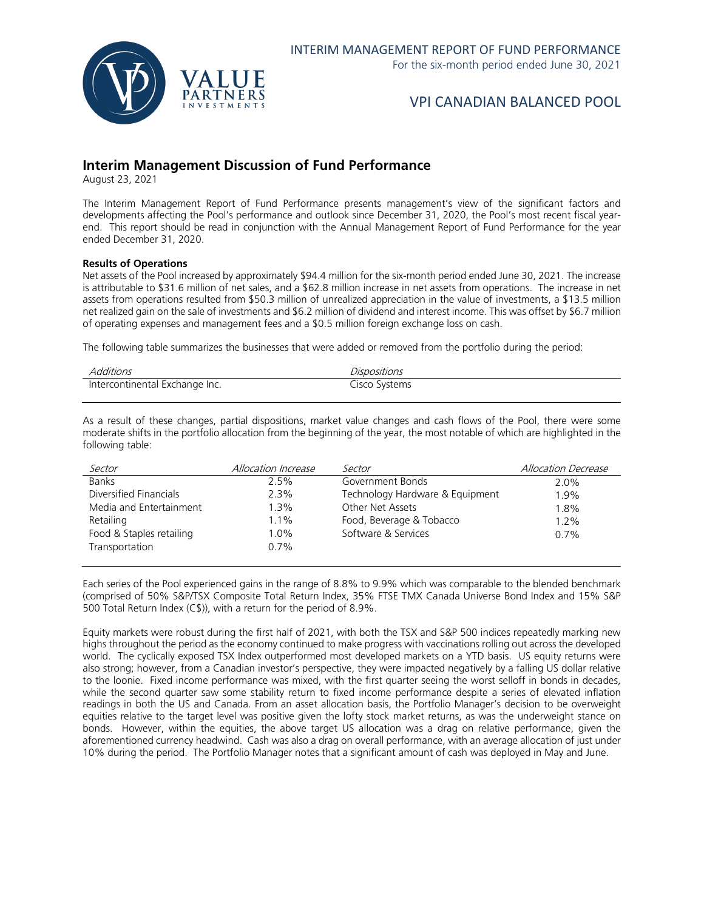

## **Interim Management Discussion of Fund Performance**

August 23, 2021

The Interim Management Report of Fund Performance presents management's view of the significant factors and developments affecting the Pool's performance and outlook since December 31, 2020, the Pool's most recent fiscal yearend. This report should be read in conjunction with the Annual Management Report of Fund Performance for the year ended December 31, 2020.

#### **Results of Operations**

Net assets of the Pool increased by approximately \$94.4 million for the six-month period ended June 30, 2021. The increase is attributable to \$31.6 million of net sales, and a \$62.8 million increase in net assets from operations. The increase in net assets from operations resulted from \$50.3 million of unrealized appreciation in the value of investments, a \$13.5 million net realized gain on the sale of investments and \$6.2 million of dividend and interest income. This was offset by \$6.7 million of operating expenses and management fees and a \$0.5 million foreign exchange loss on cash.

The following table summarizes the businesses that were added or removed from the portfolio during the period:

| Additions                      | Dispositions  |
|--------------------------------|---------------|
| Intercontinental Exchange Inc. | Cisco Systems |

As a result of these changes, partial dispositions, market value changes and cash flows of the Pool, there were some moderate shifts in the portfolio allocation from the beginning of the year, the most notable of which are highlighted in the following table:

| Sector                   | Allocation Increase | Sector                          | <b>Allocation Decrease</b> |
|--------------------------|---------------------|---------------------------------|----------------------------|
| <b>Banks</b>             | 2.5%                | Government Bonds                | $2.0\%$                    |
| Diversified Financials   | 2.3%                | Technology Hardware & Equipment | 1.9%                       |
| Media and Entertainment  | $1.3\%$             | Other Net Assets                | 1.8%                       |
| Retailing                | 1.1%                | Food, Beverage & Tobacco        | $1.2\%$                    |
| Food & Staples retailing | $1.0\%$             | Software & Services             | $0.7\%$                    |
| Transportation           | $0.7\%$             |                                 |                            |
|                          |                     |                                 |                            |

Each series of the Pool experienced gains in the range of 8.8% to 9.9% which was comparable to the blended benchmark (comprised of 50% S&P/TSX Composite Total Return Index, 35% FTSE TMX Canada Universe Bond Index and 15% S&P 500 Total Return Index (C\$)), with a return for the period of 8.9%.

Equity markets were robust during the first half of 2021, with both the TSX and S&P 500 indices repeatedly marking new highs throughout the period as the economy continued to make progress with vaccinations rolling out across the developed world. The cyclically exposed TSX Index outperformed most developed markets on a YTD basis. US equity returns were also strong; however, from a Canadian investor's perspective, they were impacted negatively by a falling US dollar relative to the loonie. Fixed income performance was mixed, with the first quarter seeing the worst selloff in bonds in decades, while the second quarter saw some stability return to fixed income performance despite a series of elevated inflation readings in both the US and Canada. From an asset allocation basis, the Portfolio Manager's decision to be overweight equities relative to the target level was positive given the lofty stock market returns, as was the underweight stance on bonds. However, within the equities, the above target US allocation was a drag on relative performance, given the aforementioned currency headwind. Cash was also a drag on overall performance, with an average allocation of just under 10% during the period. The Portfolio Manager notes that a significant amount of cash was deployed in May and June.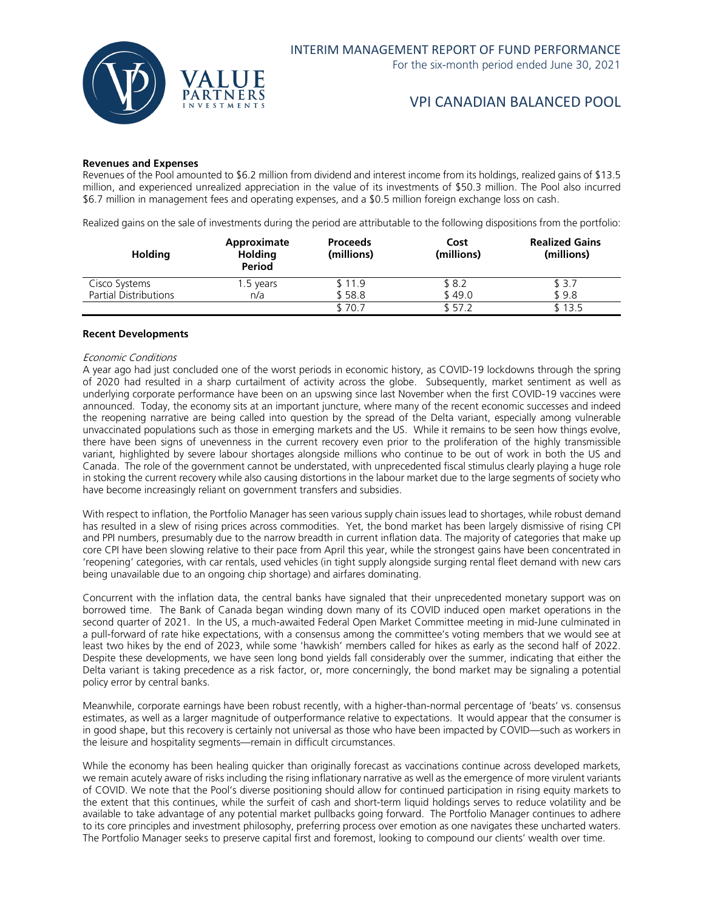

#### **Revenues and Expenses**

Revenues of the Pool amounted to \$6.2 million from dividend and interest income from its holdings, realized gains of \$13.5 million, and experienced unrealized appreciation in the value of its investments of \$50.3 million. The Pool also incurred \$6.7 million in management fees and operating expenses, and a \$0.5 million foreign exchange loss on cash.

Realized gains on the sale of investments during the period are attributable to the following dispositions from the portfolio:

| <b>Holding</b>               | Approximate<br><b>Holding</b><br>Period | <b>Proceeds</b><br>(millions) | Cost<br>(millions) | <b>Realized Gains</b><br>(millions) |
|------------------------------|-----------------------------------------|-------------------------------|--------------------|-------------------------------------|
| Cisco Systems                | 1.5 years                               | \$11.9                        | \$ 8.2             | \$ 3.7                              |
| <b>Partial Distributions</b> | n/a                                     | \$58.8                        | \$49.0             | \$9.8                               |
|                              |                                         | \$70.7                        | \$ 57.2            | \$13.5                              |

#### **Recent Developments**

#### Economic Conditions

A year ago had just concluded one of the worst periods in economic history, as COVID-19 lockdowns through the spring of 2020 had resulted in a sharp curtailment of activity across the globe. Subsequently, market sentiment as well as underlying corporate performance have been on an upswing since last November when the first COVID-19 vaccines were announced. Today, the economy sits at an important juncture, where many of the recent economic successes and indeed the reopening narrative are being called into question by the spread of the Delta variant, especially among vulnerable unvaccinated populations such as those in emerging markets and the US. While it remains to be seen how things evolve, there have been signs of unevenness in the current recovery even prior to the proliferation of the highly transmissible variant, highlighted by severe labour shortages alongside millions who continue to be out of work in both the US and Canada. The role of the government cannot be understated, with unprecedented fiscal stimulus clearly playing a huge role in stoking the current recovery while also causing distortions in the labour market due to the large segments of society who have become increasingly reliant on government transfers and subsidies.

With respect to inflation, the Portfolio Manager has seen various supply chain issues lead to shortages, while robust demand has resulted in a slew of rising prices across commodities. Yet, the bond market has been largely dismissive of rising CPI and PPI numbers, presumably due to the narrow breadth in current inflation data. The majority of categories that make up core CPI have been slowing relative to their pace from April this year, while the strongest gains have been concentrated in 'reopening' categories, with car rentals, used vehicles (in tight supply alongside surging rental fleet demand with new cars being unavailable due to an ongoing chip shortage) and airfares dominating.

Concurrent with the inflation data, the central banks have signaled that their unprecedented monetary support was on borrowed time. The Bank of Canada began winding down many of its COVID induced open market operations in the second quarter of 2021. In the US, a much-awaited Federal Open Market Committee meeting in mid-June culminated in a pull-forward of rate hike expectations, with a consensus among the committee's voting members that we would see at least two hikes by the end of 2023, while some 'hawkish' members called for hikes as early as the second half of 2022. Despite these developments, we have seen long bond yields fall considerably over the summer, indicating that either the Delta variant is taking precedence as a risk factor, or, more concerningly, the bond market may be signaling a potential policy error by central banks.

Meanwhile, corporate earnings have been robust recently, with a higher-than-normal percentage of 'beats' vs. consensus estimates, as well as a larger magnitude of outperformance relative to expectations. It would appear that the consumer is in good shape, but this recovery is certainly not universal as those who have been impacted by COVID—such as workers in the leisure and hospitality segments—remain in difficult circumstances.

While the economy has been healing quicker than originally forecast as vaccinations continue across developed markets, we remain acutely aware of risks including the rising inflationary narrative as well as the emergence of more virulent variants of COVID. We note that the Pool's diverse positioning should allow for continued participation in rising equity markets to the extent that this continues, while the surfeit of cash and short-term liquid holdings serves to reduce volatility and be available to take advantage of any potential market pullbacks going forward. The Portfolio Manager continues to adhere to its core principles and investment philosophy, preferring process over emotion as one navigates these uncharted waters. The Portfolio Manager seeks to preserve capital first and foremost, looking to compound our clients' wealth over time.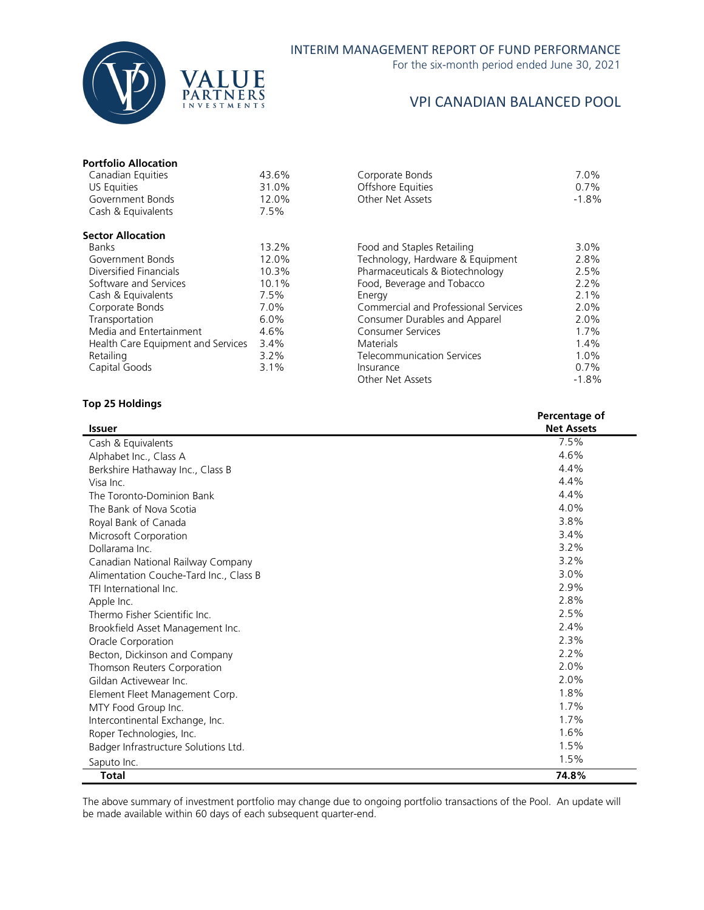

For the six-month period ended June 30, 2021

## VPI CANADIAN BALANCED POOL

## **Portfolio Allocation**

| Canadian Equities                  | 43.6% | Corporate Bonds                      | 7.0%    |
|------------------------------------|-------|--------------------------------------|---------|
| US Equities                        | 31.0% | Offshore Equities                    | 0.7%    |
| Government Bonds                   | 12.0% | Other Net Assets                     | $-1.8%$ |
| Cash & Equivalents                 | 7.5%  |                                      |         |
| <b>Sector Allocation</b>           |       |                                      |         |
| <b>Banks</b>                       | 13.2% | Food and Staples Retailing           | $3.0\%$ |
| Government Bonds                   | 12.0% | Technology, Hardware & Equipment     | 2.8%    |
| Diversified Financials             | 10.3% | Pharmaceuticals & Biotechnology      | 2.5%    |
| Software and Services              | 10.1% | Food, Beverage and Tobacco           | 2.2%    |
| Cash & Equivalents                 | 7.5%  | Energy                               | 2.1%    |
| Corporate Bonds                    | 7.0%  | Commercial and Professional Services | 2.0%    |
| Transportation                     | 6.0%  | Consumer Durables and Apparel        | 2.0%    |
| Media and Entertainment            | 4.6%  | <b>Consumer Services</b>             | $1.7\%$ |
| Health Care Equipment and Services | 3.4%  | <b>Materials</b>                     | 1.4%    |
| Retailing                          | 3.2%  | <b>Telecommunication Services</b>    | 1.0%    |
| Capital Goods                      | 3.1%  | Insurance                            | $0.7\%$ |
|                                    |       | Other Net Assets                     | $-1.8%$ |

## **Top 25 Holdings**

|                                        | Percentage of     |
|----------------------------------------|-------------------|
| <b>Issuer</b>                          | <b>Net Assets</b> |
| Cash & Equivalents                     | 7.5%              |
| Alphabet Inc., Class A                 | 4.6%              |
| Berkshire Hathaway Inc., Class B       | 4.4%              |
| Visa Inc.                              | 4.4%              |
| The Toronto-Dominion Bank              | 4.4%              |
| The Bank of Nova Scotia                | 4.0%              |
| Royal Bank of Canada                   | 3.8%              |
| Microsoft Corporation                  | 3.4%              |
| Dollarama Inc.                         | 3.2%              |
| Canadian National Railway Company      | 3.2%              |
| Alimentation Couche-Tard Inc., Class B | 3.0%              |
| TFI International Inc.                 | 2.9%              |
| Apple Inc.                             | 2.8%              |
| Thermo Fisher Scientific Inc.          | 2.5%              |
| Brookfield Asset Management Inc.       | 2.4%              |
| Oracle Corporation                     | 2.3%              |
| Becton, Dickinson and Company          | 2.2%              |
| Thomson Reuters Corporation            | 2.0%              |
| Gildan Activewear Inc.                 | 2.0%              |
| Element Fleet Management Corp.         | 1.8%              |
| MTY Food Group Inc.                    | 1.7%              |
| Intercontinental Exchange, Inc.        | 1.7%              |
| Roper Technologies, Inc.               | 1.6%              |
| Badger Infrastructure Solutions Ltd.   | 1.5%              |
| Saputo Inc.                            | 1.5%              |
| <b>Total</b>                           | 74.8%             |

The above summary of investment portfolio may change due to ongoing portfolio transactions of the Pool. An update will be made available within 60 days of each subsequent quarter-end.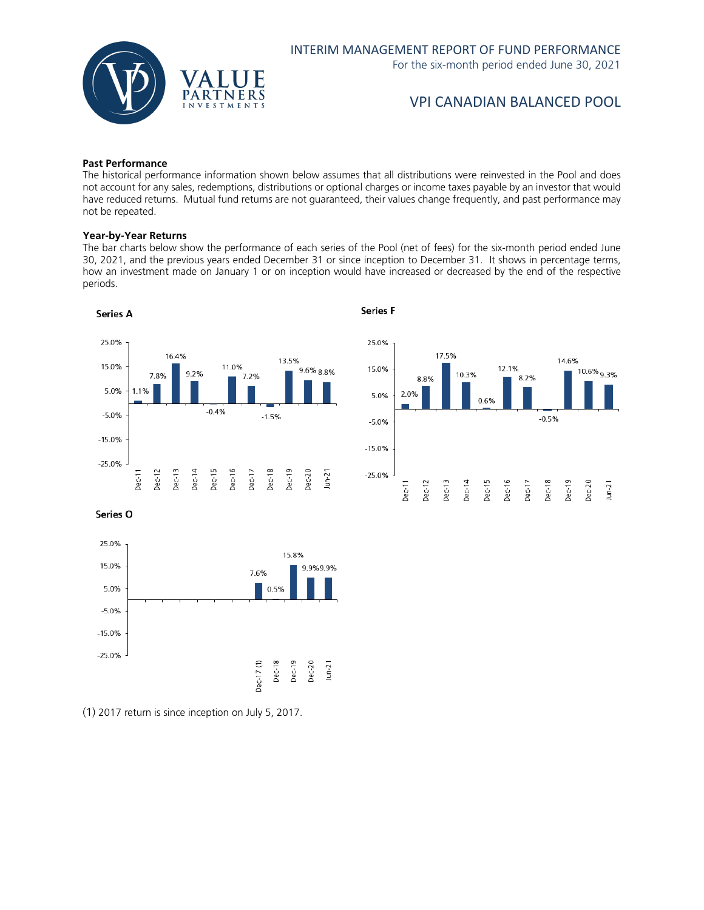

#### **Past Performance**

The historical performance information shown below assumes that all distributions were reinvested in the Pool and does not account for any sales, redemptions, distributions or optional charges or income taxes payable by an investor that would have reduced returns. Mutual fund returns are not guaranteed, their values change frequently, and past performance may not be repeated.

#### **Year-by-Year Returns**

The bar charts below show the performance of each series of the Pool (net of fees) for the six-month period ended June 30, 2021, and the previous years ended December 31 or since inception to December 31. It shows in percentage terms, how an investment made on January 1 or on inception would have increased or decreased by the end of the respective periods.



**Series F** 



Series O



(1) 2017 return is since inception on July 5, 2017.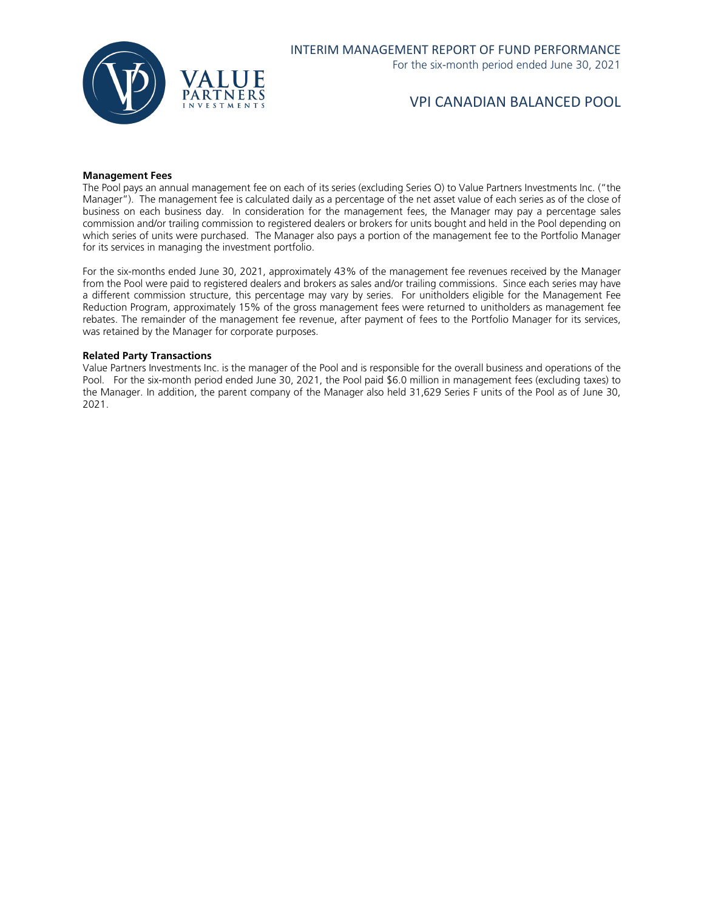

#### **Management Fees**

The Pool pays an annual management fee on each of its series (excluding Series O) to Value Partners Investments Inc. ("the Manager"). The management fee is calculated daily as a percentage of the net asset value of each series as of the close of business on each business day. In consideration for the management fees, the Manager may pay a percentage sales commission and/or trailing commission to registered dealers or brokers for units bought and held in the Pool depending on which series of units were purchased. The Manager also pays a portion of the management fee to the Portfolio Manager for its services in managing the investment portfolio.

For the six-months ended June 30, 2021, approximately 43% of the management fee revenues received by the Manager from the Pool were paid to registered dealers and brokers as sales and/or trailing commissions. Since each series may have a different commission structure, this percentage may vary by series. For unitholders eligible for the Management Fee Reduction Program, approximately 15% of the gross management fees were returned to unitholders as management fee rebates. The remainder of the management fee revenue, after payment of fees to the Portfolio Manager for its services, was retained by the Manager for corporate purposes.

#### **Related Party Transactions**

Value Partners Investments Inc. is the manager of the Pool and is responsible for the overall business and operations of the Pool. For the six-month period ended June 30, 2021, the Pool paid \$6.0 million in management fees (excluding taxes) to the Manager. In addition, the parent company of the Manager also held 31,629 Series F units of the Pool as of June 30, 2021.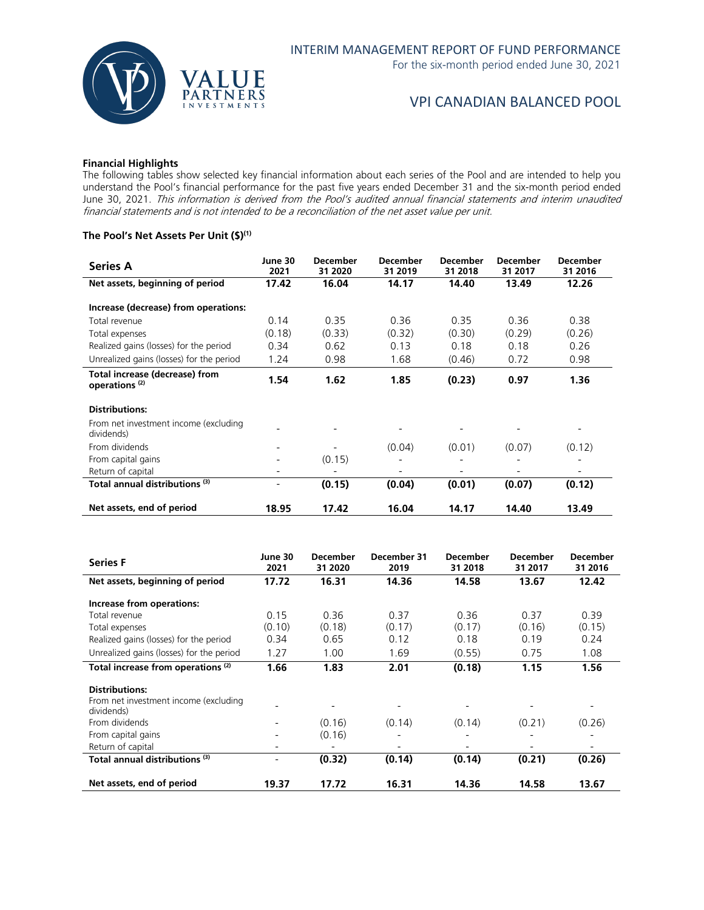

### **Financial Highlights**

The following tables show selected key financial information about each series of the Pool and are intended to help you understand the Pool's financial performance for the past five years ended December 31 and the six-month period ended June 30, 2021. This information is derived from the Pool's audited annual financial statements and interim unaudited financial statements and is not intended to be a reconciliation of the net asset value per unit.

## **The Pool's Net Assets Per Unit (\$)(1)**

| Series A                                                    | June 30<br>2021 | <b>December</b><br>31 2020 | <b>December</b><br>31 2019 | <b>December</b><br>31 2018 | <b>December</b><br>31 2017 | <b>December</b><br>31 2016   |
|-------------------------------------------------------------|-----------------|----------------------------|----------------------------|----------------------------|----------------------------|------------------------------|
| Net assets, beginning of period                             | 17.42           | 16.04                      | 14.17                      | 14.40                      | 13.49                      | 12.26                        |
| Increase (decrease) from operations:                        |                 |                            |                            |                            |                            |                              |
| Total revenue                                               | 0.14            | 0.35                       | 0.36                       | 0.35                       | 0.36                       | 0.38                         |
| Total expenses                                              | (0.18)          | (0.33)                     | (0.32)                     | (0.30)                     | (0.29)                     | (0.26)                       |
| Realized gains (losses) for the period                      | 0.34            | 0.62                       | 0.13                       | 0.18                       | 0.18                       | 0.26                         |
| Unrealized gains (losses) for the period                    | 1.24            | 0.98                       | 1.68                       | (0.46)                     | 0.72                       | 0.98                         |
| Total increase (decrease) from<br>operations <sup>(2)</sup> | 1.54            | 1.62                       | 1.85                       | (0.23)                     | 0.97                       | 1.36                         |
| <b>Distributions:</b>                                       |                 |                            |                            |                            |                            |                              |
| From net investment income (excluding<br>dividends)         |                 |                            |                            |                            |                            |                              |
| From dividends                                              |                 |                            | (0.04)                     | (0.01)                     | (0.07)                     | (0.12)                       |
| From capital gains                                          |                 | (0.15)                     |                            |                            |                            |                              |
| Return of capital                                           |                 |                            |                            |                            |                            | $\qquad \qquad \blacksquare$ |
| Total annual distributions (3)                              | $\overline{a}$  | (0.15)                     | (0.04)                     | (0.01)                     | (0.07)                     | (0.12)                       |
| Net assets, end of period                                   | 18.95           | 17.42                      | 16.04                      | 14.17                      | 14.40                      | 13.49                        |

| <b>Series F</b>                                     | June 30<br>2021 | <b>December</b><br>31 2020 | December 31<br>2019 | <b>December</b><br>31 2018 | <b>December</b><br>31 2017 | <b>December</b><br>31 2016 |
|-----------------------------------------------------|-----------------|----------------------------|---------------------|----------------------------|----------------------------|----------------------------|
| Net assets, beginning of period                     | 17.72           | 16.31                      | 14.36               | 14.58                      | 13.67                      | 12.42                      |
| Increase from operations:                           |                 |                            |                     |                            |                            |                            |
| Total revenue                                       | 0.15            | 0.36                       | 0.37                | 0.36                       | 0.37                       | 0.39                       |
| Total expenses                                      | (0.10)          | (0.18)                     | (0.17)              | (0.17)                     | (0.16)                     | (0.15)                     |
| Realized gains (losses) for the period              | 0.34            | 0.65                       | 0.12                | 0.18                       | 0.19                       | 0.24                       |
| Unrealized gains (losses) for the period            | 1.27            | 1.00                       | 1.69                | (0.55)                     | 0.75                       | 1.08                       |
| Total increase from operations <sup>(2)</sup>       | 1.66            | 1.83                       | 2.01                | (0.18)                     | 1.15                       | 1.56                       |
| <b>Distributions:</b>                               |                 |                            |                     |                            |                            |                            |
| From net investment income (excluding<br>dividends) |                 |                            |                     |                            |                            | $\overline{\phantom{a}}$   |
| From dividends                                      |                 | (0.16)                     | (0.14)              | (0.14)                     | (0.21)                     | (0.26)                     |
| From capital gains                                  |                 | (0.16)                     |                     |                            |                            |                            |
| Return of capital                                   |                 |                            |                     |                            |                            | $\qquad \qquad -$          |
| Total annual distributions (3)                      |                 | (0.32)                     | (0.14)              | (0.14)                     | (0.21)                     | (0.26)                     |
| Net assets, end of period                           | 19.37           | 17.72                      | 16.31               | 14.36                      | 14.58                      | 13.67                      |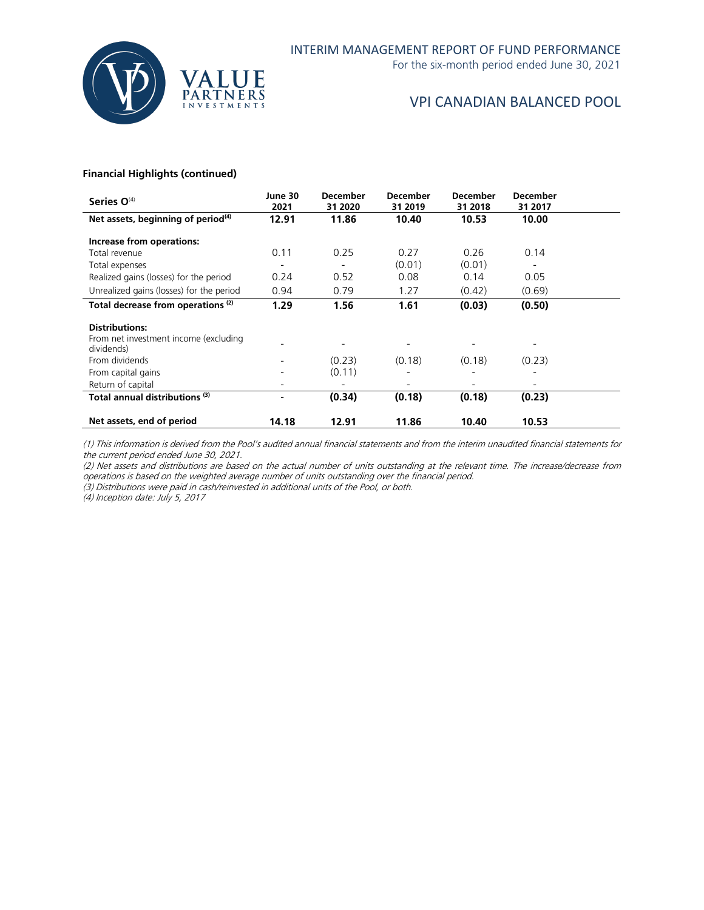

For the six-month period ended June 30, 2021

## VPI CANADIAN BALANCED POOL

## **Financial Highlights (continued)**

| Series O <sup>(4)</sup>                             | June 30<br>2021 | <b>December</b><br>31 2020 | <b>December</b><br>31 2019 | <b>December</b><br>31 2018 | <b>December</b><br>31 2017 |  |
|-----------------------------------------------------|-----------------|----------------------------|----------------------------|----------------------------|----------------------------|--|
| Net assets, beginning of period <sup>(4)</sup>      | 12.91           | 11.86                      | 10.40                      | 10.53                      | 10.00                      |  |
| Increase from operations:                           |                 |                            |                            |                            |                            |  |
| Total revenue                                       | 0.11            | 0.25                       | 0.27                       | 0.26                       | 0.14                       |  |
| Total expenses                                      |                 |                            | (0.01)                     | (0.01)                     |                            |  |
| Realized gains (losses) for the period              | 0.24            | 0.52                       | 0.08                       | 0.14                       | 0.05                       |  |
| Unrealized gains (losses) for the period            | 0.94            | 0.79                       | 1.27                       | (0.42)                     | (0.69)                     |  |
| Total decrease from operations <sup>(2)</sup>       | 1.29            | 1.56                       | 1.61                       | (0.03)                     | (0.50)                     |  |
| <b>Distributions:</b>                               |                 |                            |                            |                            |                            |  |
| From net investment income (excluding<br>dividends) |                 |                            |                            |                            | $\overline{a}$             |  |
| From dividends                                      |                 | (0.23)                     | (0.18)                     | (0.18)                     | (0.23)                     |  |
| From capital gains                                  |                 | (0.11)                     |                            |                            |                            |  |
| Return of capital                                   |                 |                            |                            |                            | $\overline{a}$             |  |
| Total annual distributions (3)                      |                 | (0.34)                     | (0.18)                     | (0.18)                     | (0.23)                     |  |
| Net assets, end of period                           | 14.18           | 12.91                      | 11.86                      | 10.40                      | 10.53                      |  |

(1) This information is derived from the Pool's audited annual financial statements and from the interim unaudited financial statements for the current period ended June 30, 2021.

(2) Net assets and distributions are based on the actual number of units outstanding at the relevant time. The increase/decrease from operations is based on the weighted average number of units outstanding over the financial period.

(3) Distributions were paid in cash/reinvested in additional units of the Pool, or both.

(4) Inception date: July 5, 2017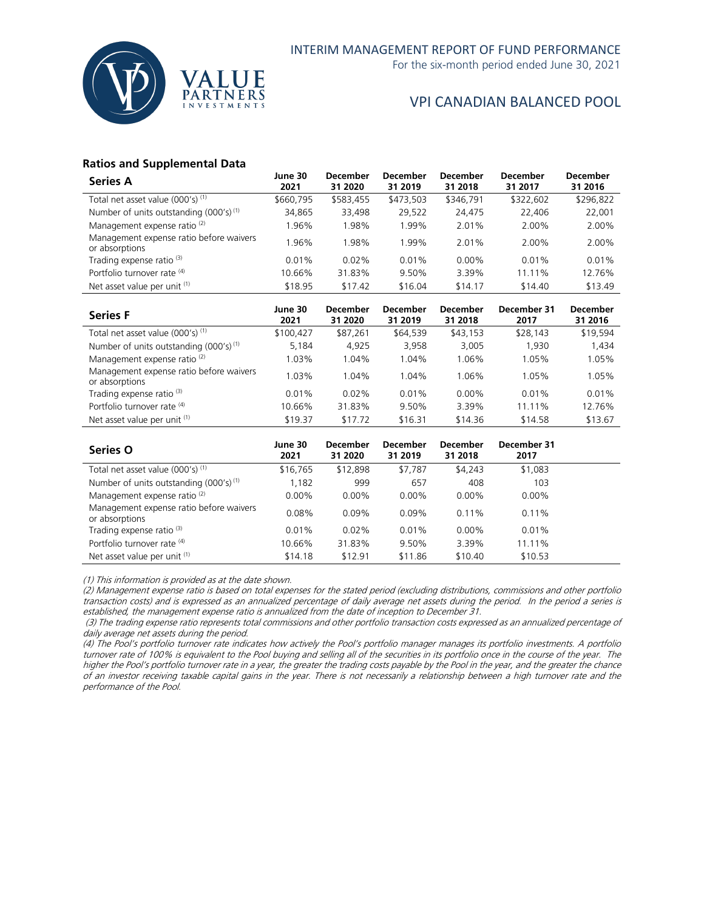

For the six-month period ended June 30, 2021

## VPI CANADIAN BALANCED POOL

## **Ratios and Supplemental Data**

| <b>Series A</b>                                           | June 30<br>2021 | <b>December</b><br>31 2020 | <b>December</b><br>31 2019 | <b>December</b><br>31 2018 | <b>December</b><br>31 2017 | <b>December</b><br>31 2016 |
|-----------------------------------------------------------|-----------------|----------------------------|----------------------------|----------------------------|----------------------------|----------------------------|
| Total net asset value $(000's)^{(1)}$                     | \$660,795       | \$583,455                  | \$473,503                  | \$346,791                  | \$322,602                  | \$296,822                  |
| Number of units outstanding (000's) <sup>(1)</sup>        | 34,865          | 33,498                     | 29,522                     | 24.475                     | 22.406                     | 22,001                     |
| Management expense ratio <sup>(2)</sup>                   | 1.96%           | 1.98%                      | 1.99%                      | 2.01%                      | 2.00%                      | 2.00%                      |
| Management expense ratio before waivers<br>or absorptions | .96%            | .98%                       | $.99\%$                    | 2.01%                      | 2.00%                      | 2.00%                      |
| Trading expense ratio <sup>(3)</sup>                      | 0.01%           | $0.02\%$                   | 0.01%                      | $0.00\%$                   | $0.01\%$                   | 0.01%                      |
| Portfolio turnover rate (4)                               | 10.66%          | 31.83%                     | 9.50%                      | 3.39%                      | 11.11%                     | 12.76%                     |
| Net asset value per unit (1)                              | \$18.95         | \$17.42                    | \$16.04                    | \$14.17                    | \$14.40                    | \$13.49                    |

| <b>Series F</b>                                           | June 30<br>2021 | <b>December</b><br>31 2020 | <b>December</b><br>31 2019 | December<br>31 2018 | December 31<br>2017 | <b>December</b><br>31 2016 |
|-----------------------------------------------------------|-----------------|----------------------------|----------------------------|---------------------|---------------------|----------------------------|
| Total net asset value (000's) <sup>(1)</sup>              | \$100.427       | \$87,261                   | \$64,539                   | \$43,153            | \$28,143            | \$19,594                   |
| Number of units outstanding $(000's)^{(1)}$               | 5.184           | 4.925                      | 3,958                      | 3,005               | 1.930               | 1,434                      |
| Management expense ratio <sup>(2)</sup>                   | 1.03%           | 1.04%                      | 1.04%                      | 1.06%               | 1.05%               | 1.05%                      |
| Management expense ratio before waivers<br>or absorptions | 1.03%           | 1.04%                      | 1.04%                      | 1.06%               | 1.05%               | 1.05%                      |
| Trading expense ratio <sup>(3)</sup>                      | 0.01%           | $0.02\%$                   | 0.01%                      | $0.00\%$            | 0.01%               | 0.01%                      |
| Portfolio turnover rate (4)                               | 10.66%          | 31.83%                     | 9.50%                      | 3.39%               | 11.11%              | 12.76%                     |
| Net asset value per unit (1)                              | \$19.37         | \$17.72                    | \$16.31                    | \$14.36             | \$14.58             | \$13.67                    |

| <b>Series O</b>                                           | June 30<br>2021 | <b>December</b><br>31 2020 | <b>December</b><br>31 2019 | December<br>31 2018 | December 31<br>2017 |  |
|-----------------------------------------------------------|-----------------|----------------------------|----------------------------|---------------------|---------------------|--|
| Total net asset value (000's) <sup>(1)</sup>              | \$16,765        | \$12,898                   | \$7.787                    | \$4,243             | \$1,083             |  |
| Number of units outstanding $(000's)^{(1)}$               | 1,182           | 999                        | 657                        | 408                 | 103                 |  |
| Management expense ratio <sup>(2)</sup>                   | $0.00\%$        | $0.00\%$                   | $0.00\%$                   | $0.00\%$            | $0.00\%$            |  |
| Management expense ratio before waivers<br>or absorptions | 0.08%           | $0.09\%$                   | $0.09\%$                   | $0.11\%$            | 0.11%               |  |
| Trading expense ratio <sup>(3)</sup>                      | 0.01%           | $0.02\%$                   | 0.01%                      | $0.00\%$            | $0.01\%$            |  |
| Portfolio turnover rate (4)                               | 10.66%          | 31.83%                     | 9.50%                      | 3.39%               | 11.11%              |  |
| Net asset value per unit (1)                              | \$14.18         | \$12.91                    | \$11.86                    | \$10.40             | \$10.53             |  |

(1) This information is provided as at the date shown.

(2) Management expense ratio is based on total expenses for the stated period (excluding distributions, commissions and other portfolio transaction costs) and is expressed as an annualized percentage of daily average net assets during the period. In the period a series is established, the management expense ratio is annualized from the date of inception to December 31.

(3) The trading expense ratio represents total commissions and other portfolio transaction costs expressed as an annualized percentage of daily average net assets during the period.

(4) The Pool's portfolio turnover rate indicates how actively the Pool's portfolio manager manages its portfolio investments. A portfolio turnover rate of 100% is equivalent to the Pool buying and selling all of the securities in its portfolio once in the course of the year. The higher the Pool's portfolio turnover rate in a year, the greater the trading costs payable by the Pool in the year, and the greater the chance of an investor receiving taxable capital gains in the year. There is not necessarily a relationship between a high turnover rate and the performance of the Pool.